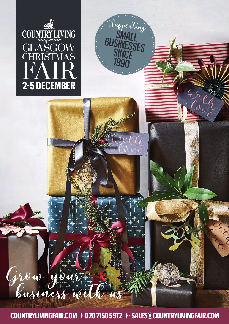

Grow you



## **COUNTRYLIVINGFAIR.COM** |T: **020 7150 5972** |E: **SALES@COUNTRYLIVINGFAIR.COM**

 $\sum_{i=1}^{n}$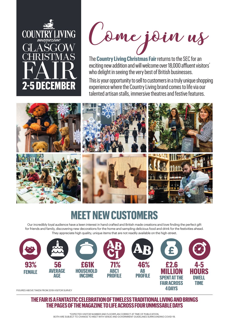

Come join us

The **Country Living Christmas Fair**returns to the SEC for an exciting new addition and will welcome over 18,000 affluent visitors<sup>\*</sup> who delight in seeing the very best of British businesses.

This is your opportunity to sell to customers in a truly unique shopping experience where the Country Living brand comes to life via our talented artisan stalls, immersive theatres and festive features.



## **MEET NEW CUSTOMERS**

Our incredibly loyal audience have a keen interest in hand crafted and British made creations and love finding the perfect gift for friends and family, discovering new decorations for the home and sampling delicious food and drink for the festivities ahead. They appreciate high quality, unique items that are not readily available on the high-street.



FIGURES ABOVE TAKEN FROM 2019 VISITOR SURVEY

**THE FAIR IS A FANTASTIC CELEBRATION OF TIMELESS TRADITIONAL LIVING AND BRINGS THE PAGES OF THE MAGAZINE TO LIFE ACROSS FOUR UNMISSABLE DAYS**